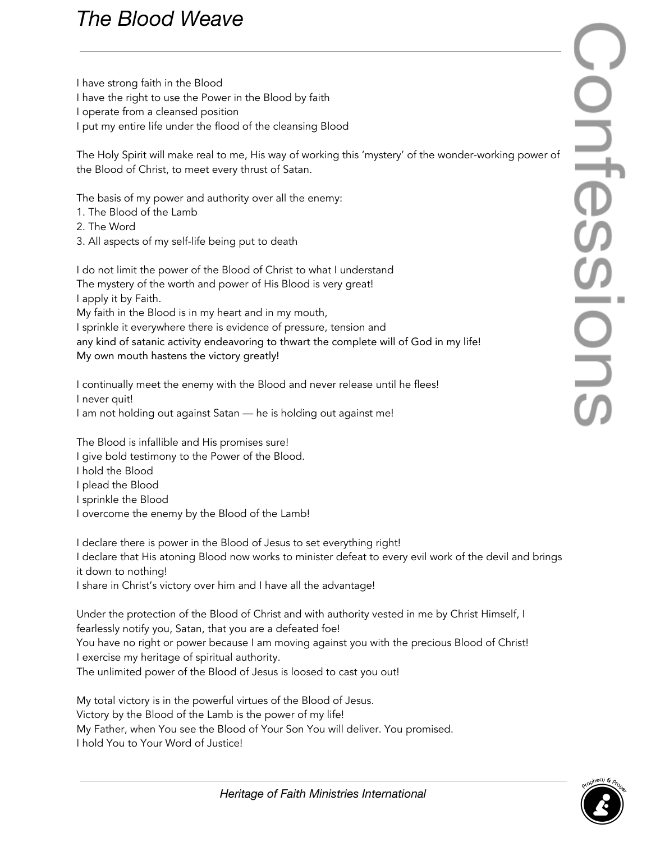## *The Blood Weave*

I have strong faith in the Blood I have the right to use the Power in the Blood by faith I operate from a cleansed position I put my entire life under the flood of the cleansing Blood

The Holy Spirit will make real to me, His way of working this 'mystery' of the wonder-working power of the Blood of Christ, to meet every thrust of Satan.

The basis of my power and authority over all the enemy:

- 1. The Blood of the Lamb
- 2. The Word
- 3. All aspects of my self-life being put to death

I do not limit the power of the Blood of Christ to what I understand The mystery of the worth and power of His Blood is very great! I apply it by Faith. My faith in the Blood is in my heart and in my mouth, I sprinkle it everywhere there is evidence of pressure, tension and any kind of satanic activity endeavoring to thwart the complete will of God in my life! My own mouth hastens the victory greatly!

I continually meet the enemy with the Blood and never release until he flees! I never quit! I am not holding out against Satan — he is holding out against me!

The Blood is infallible and His promises sure! I give bold testimony to the Power of the Blood. I hold the Blood I plead the Blood I sprinkle the Blood I overcome the enemy by the Blood of the Lamb!

I declare there is power in the Blood of Jesus to set everything right! I declare that His atoning Blood now works to minister defeat to every evil work of the devil and brings it down to nothing! I share in Christ's victory over him and I have all the advantage!

Under the protection of the Blood of Christ and with authority vested in me by Christ Himself, I fearlessly notify you, Satan, that you are a defeated foe! You have no right or power because I am moving against you with the precious Blood of Christ! I exercise my heritage of spiritual authority. The unlimited power of the Blood of Jesus is loosed to cast you out!

My total victory is in the powerful virtues of the Blood of Jesus. Victory by the Blood of the Lamb is the power of my life! My Father, when You see the Blood of Your Son You will deliver. You promised. I hold You to Your Word of Justice!